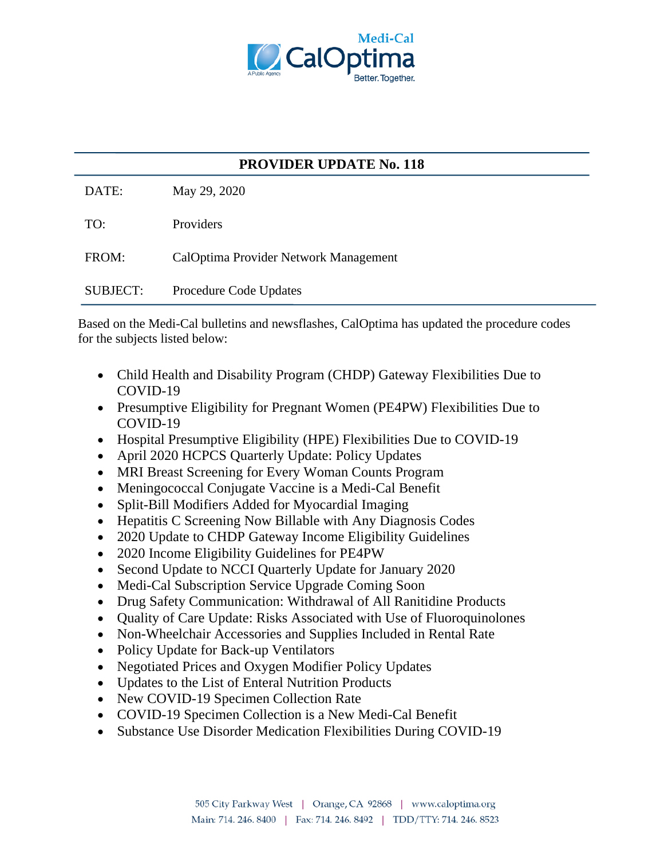

## **PROVIDER UPDATE No. 118**

DATE: May 29, 2020

TO: Providers

FROM: CalOptima Provider Network Management

SUBJECT: Procedure Code Updates

Based on the Medi-Cal bulletins and newsflashes, CalOptima has updated the procedure codes for the subjects listed below:

- Child Health and Disability Program (CHDP) Gateway Flexibilities Due to COVID-19
- Presumptive Eligibility for Pregnant Women (PE4PW) Flexibilities Due to COVID-19
- Hospital Presumptive Eligibility (HPE) Flexibilities Due to COVID-19
- April 2020 HCPCS Quarterly Update: Policy Updates
- MRI Breast Screening for Every Woman Counts Program
- Meningococcal Conjugate Vaccine is a Medi-Cal Benefit
- Split-Bill Modifiers Added for Myocardial Imaging
- Hepatitis C Screening Now Billable with Any Diagnosis Codes
- 2020 Update to CHDP Gateway Income Eligibility Guidelines
- 2020 Income Eligibility Guidelines for PE4PW
- Second Update to NCCI Quarterly Update for January 2020
- Medi-Cal Subscription Service Upgrade Coming Soon
- Drug Safety Communication: Withdrawal of All Ranitidine Products
- Quality of Care Update: Risks Associated with Use of Fluoroquinolones
- Non-Wheelchair Accessories and Supplies Included in Rental Rate
- Policy Update for Back-up Ventilators
- Negotiated Prices and Oxygen Modifier Policy Updates
- Updates to the List of Enteral Nutrition Products
- New COVID-19 Specimen Collection Rate
- COVID-19 Specimen Collection is a New Medi-Cal Benefit
- Substance Use Disorder Medication Flexibilities During COVID-19